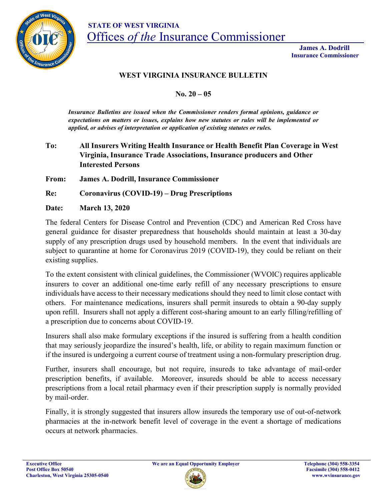

 **James A. Dodrill Insurance Commissioner**

## **WEST VIRGINIA INSURANCE BULLETIN**

**No. 20 – 05**

*Insurance Bulletins are issued when the Commissioner renders formal opinions, guidance or expectations on matters or issues, explains how new statutes or rules will be implemented or applied, or advises of interpretation or application of existing statutes or rules.*

## **To: All Insurers Writing Health Insurance or Health Benefit Plan Coverage in West Virginia, Insurance Trade Associations, Insurance producers and Other Interested Persons**

**From: James A. Dodrill, Insurance Commissioner**

**Re: Coronavirus (COVID-19) – Drug Prescriptions**

**Date: March 13, 2020**

The federal Centers for Disease Control and Prevention (CDC) and American Red Cross have general guidance for disaster preparedness that households should maintain at least a 30-day supply of any prescription drugs used by household members. In the event that individuals are subject to quarantine at home for Coronavirus 2019 (COVID-19), they could be reliant on their existing supplies.

To the extent consistent with clinical guidelines, the Commissioner (WVOIC) requires applicable insurers to cover an additional one-time early refill of any necessary prescriptions to ensure individuals have access to their necessary medications should they need to limit close contact with others. For maintenance medications, insurers shall permit insureds to obtain a 90-day supply upon refill. Insurers shall not apply a different cost-sharing amount to an early filling/refilling of a prescription due to concerns about COVID-19.

Insurers shall also make formulary exceptions if the insured is suffering from a health condition that may seriously jeopardize the insured's health, life, or ability to regain maximum function or if the insured is undergoing a current course of treatment using a non-formulary prescription drug.

Further, insurers shall encourage, but not require, insureds to take advantage of mail-order prescription benefits, if available. Moreover, insureds should be able to access necessary prescriptions from a local retail pharmacy even if their prescription supply is normally provided by mail-order.

Finally, it is strongly suggested that insurers allow insureds the temporary use of out-of-network pharmacies at the in-network benefit level of coverage in the event a shortage of medications occurs at network pharmacies.